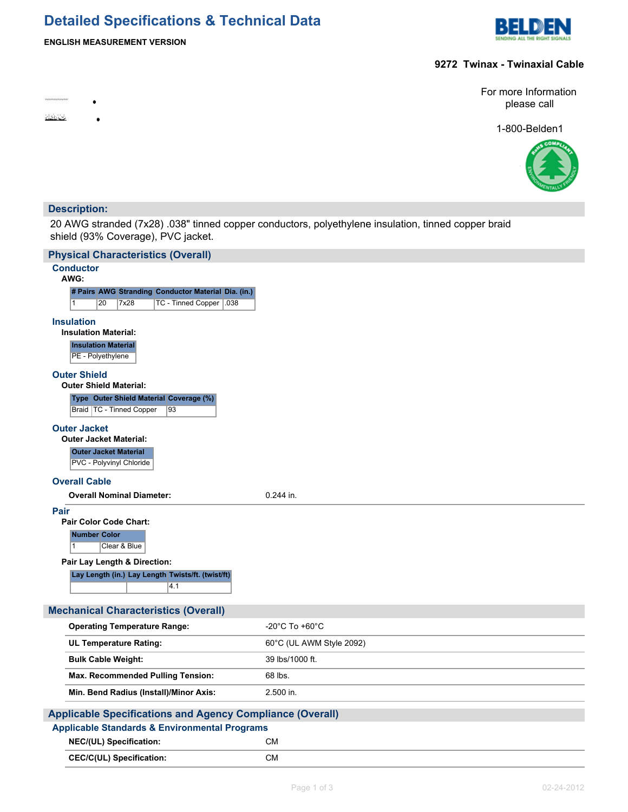# **Detailed Specifications & Technical Data**



# **ENGLISH MEASUREMENT VERSION**

**9272 Twinax - Twinaxial Cable**

**Richard** 

For more Information please call

1-800-Belden1



### **Description:**

٠

 $\bullet$ 

20 AWG stranded (7x28) .038" tinned copper conductors, polyethylene insulation, tinned copper braid shield (93% Coverage), PVC jacket.

| <b>Physical Characteristics (Overall)</b>                                                           |                          |  |  |  |
|-----------------------------------------------------------------------------------------------------|--------------------------|--|--|--|
| <b>Conductor</b><br>AWG:                                                                            |                          |  |  |  |
| # Pairs AWG Stranding Conductor Material Dia. (in.)                                                 |                          |  |  |  |
| TC - Tinned Copper   038<br>$\mathbf{1}$<br>20<br>7x28                                              |                          |  |  |  |
| <b>Insulation</b><br><b>Insulation Material:</b><br><b>Insulation Material</b><br>PE - Polyethylene |                          |  |  |  |
| <b>Outer Shield</b>                                                                                 |                          |  |  |  |
| <b>Outer Shield Material:</b>                                                                       |                          |  |  |  |
| Type Outer Shield Material Coverage (%)<br>Braid   TC - Tinned Copper<br>93                         |                          |  |  |  |
| <b>Outer Jacket</b><br><b>Outer Jacket Material:</b><br><b>Outer Jacket Material</b>                |                          |  |  |  |
| PVC - Polyvinyl Chloride                                                                            |                          |  |  |  |
| <b>Overall Cable</b>                                                                                |                          |  |  |  |
| <b>Overall Nominal Diameter:</b>                                                                    | $0.244$ in.              |  |  |  |
| Pair<br><b>Pair Color Code Chart:</b><br><b>Number Color</b>                                        |                          |  |  |  |
| $\vert$ 1<br>Clear & Blue                                                                           |                          |  |  |  |
| Pair Lay Length & Direction:<br>Lay Length (in.) Lay Length Twists/ft. (twist/ft)<br>4.1            |                          |  |  |  |
| <b>Mechanical Characteristics (Overall)</b>                                                         |                          |  |  |  |
| <b>Operating Temperature Range:</b>                                                                 | -20°C To +60°C           |  |  |  |
| <b>UL Temperature Rating:</b>                                                                       | 60°C (UL AWM Style 2092) |  |  |  |
| <b>Bulk Cable Weight:</b>                                                                           | 39 lbs/1000 ft.          |  |  |  |
| Max. Recommended Pulling Tension:                                                                   | 68 lbs.                  |  |  |  |
| Min. Bend Radius (Install)/Minor Axis:                                                              | 2.500 in.                |  |  |  |
| <b>Applicable Specifications and Agency Compliance (Overall)</b>                                    |                          |  |  |  |
| <b>Applicable Standards &amp; Environmental Programs</b>                                            |                          |  |  |  |
| NEC/(UL) Specification:                                                                             | <b>CM</b>                |  |  |  |
| <b>CEC/C(UL) Specification:</b>                                                                     | СM                       |  |  |  |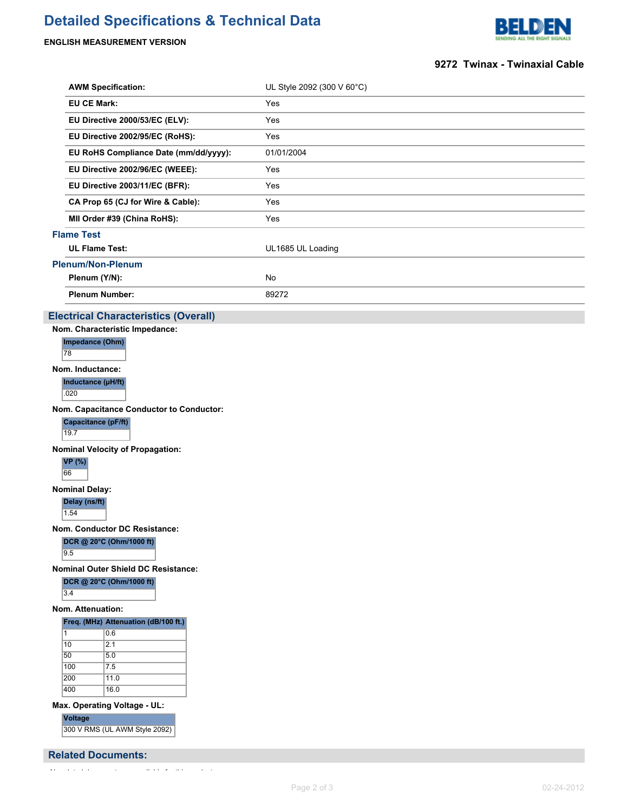## **Detailed Specifications & Technical Data**

#### **ENGLISH MEASUREMENT VERSION**



#### **9272 Twinax - Twinaxial Cable**

| <b>AWM Specification:</b>             | UL Style 2092 (300 V 60°C) |  |  |
|---------------------------------------|----------------------------|--|--|
| <b>EU CE Mark:</b>                    | Yes                        |  |  |
| EU Directive 2000/53/EC (ELV):        | Yes                        |  |  |
| EU Directive 2002/95/EC (RoHS):       | Yes                        |  |  |
| EU RoHS Compliance Date (mm/dd/yyyy): | 01/01/2004                 |  |  |
| EU Directive 2002/96/EC (WEEE):       | Yes                        |  |  |
| EU Directive 2003/11/EC (BFR):        | Yes                        |  |  |
| CA Prop 65 (CJ for Wire & Cable):     | Yes                        |  |  |
| MII Order #39 (China RoHS):           | Yes                        |  |  |
| <b>Flame Test</b>                     |                            |  |  |
| <b>UL Flame Test:</b>                 | UL1685 UL Loading          |  |  |
| <b>Plenum/Non-Plenum</b>              |                            |  |  |
| Plenum (Y/N):                         | No                         |  |  |
| <b>Plenum Number:</b>                 | 89272                      |  |  |

### **Electrical Characteristics (Overall)**

**Nom. Characteristic Impedance: Impedance (Ohm)** 78

**Nom. Inductance:**

**Inductance (µH/ft)**  $.020$ 

**Nom. Capacitance Conductor to Conductor:**

**Capacitance (pF/ft)** 19.7

**Nominal Velocity of Propagation:**

**VP (%)** 66

### **Nominal Delay:**

**Delay (ns/ft)**

1.54

**Nom. Conductor DC Resistance:**

**DCR @ 20°C (Ohm/1000 ft)**

9.5

**Nominal Outer Shield DC Resistance:**

**DCR @ 20°C (Ohm/1000 ft)**

 $3.4$ 

#### **Nom. Attenuation:**

#### **Freq. (MHz) Attenuation (dB/100 ft.)**

| 1   | 0.6  |
|-----|------|
| 10  | 2.1  |
| 50  | 5.0  |
| 100 | 7.5  |
| 200 | 11.0 |
| 400 | 16.0 |

**Max. Operating Voltage - UL:**

**Voltage**

300 V RMS (UL AWM Style 2092)